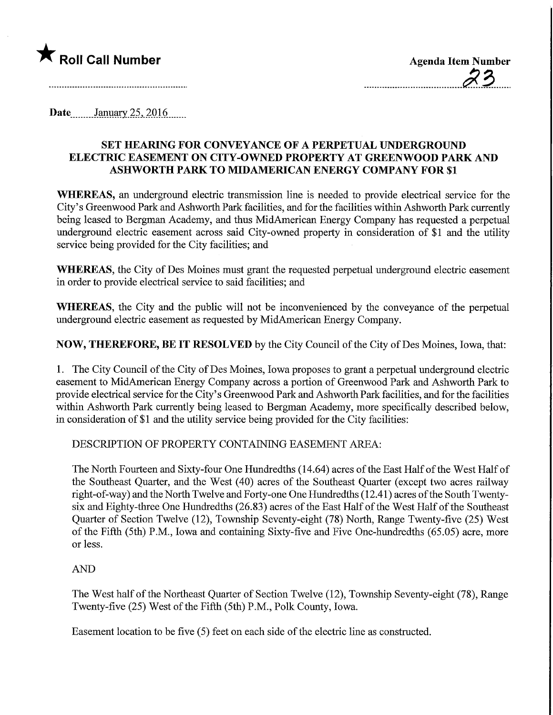

Date January 25, 2016

## SET HEARING FOR CONVEYANCE OF A PERPETUAL UNDERGROUND ELECTRIC EASEMENT ON CITY-OWNED PROPERTY AT GREENWOOD PARK AND ASHWORTH PARK TO MIDAMERICAN ENERGY COMPANY FOR \$1

WHEREAS, an underground electric transmission line is needed to provide electrical service for the City's Greenwood Park and Ashworth Park facilities, and for the facilities within Ashworth Park currently being leased to Bergman Academy, and thus MidAmerican Energy Company has requested a perpetual underground electric easement across said City-owned property in consideration of \$1 and the utility service being provided for the City facilities; and

WHEREAS, the City of Des Moines must grant the requested perpetual underground electric easement in order to provide electrical service to said facilities; and

WHEREAS, the City and the public will not be inconvenienced by the conveyance of the perpetual underground electric easement as requested by MidAmerican Energy Company.

NOW, THEREFORE, BE IT RESOLVED by the City Council of the City of Des Moines, Iowa, that:

1. The City Council of the City of Des Moines, Iowa proposes to grant a perpetual underground electric easement to MidAmerican Energy Company across a portion of Greenwood Park and Ashworth Park to provide electrical service for the City's Greenwood Park and Ashworth Park facilities, and for the facilities within Ashworth Park currently being leased to Bergman Academy, more specifically described below, in consideration of \$1 and the utility service being provided for the City facilities:

DESCRIPTION OF PROPERTY CONTAINING EASEMENT AREA:

The North Fourteen and Sixty-four One Hundredths (14.64) acres of the East Half of the West Half of the Southeast Quarter, and the West (40) acres of the Southeast Quarter (except two acres railway right-of-way) and the North Twelve and Forty-one One Hundredths (12.41) acres of the South Twentysix and Eighty-three One Hundredths (26.83) acres of the East Half of the West Half of the Southeast Quarter of Section Twelve (12), Township Seventy-eight (78) North, Range Twenty-five (25) West of the Fifth (5th) P.M., Iowa and containing Sixty-five and Five One-hundredths (65.05) acre, more or less.

## AND

The West half of the Northeast Quarter of Section Twelve (12), Township Seventy-eight (78), Range Twenty-five (25) West of the Fifth (5th) P.M., Polk County, Iowa.

Easement location to be five (5) feet on each side of the electric line as constructed.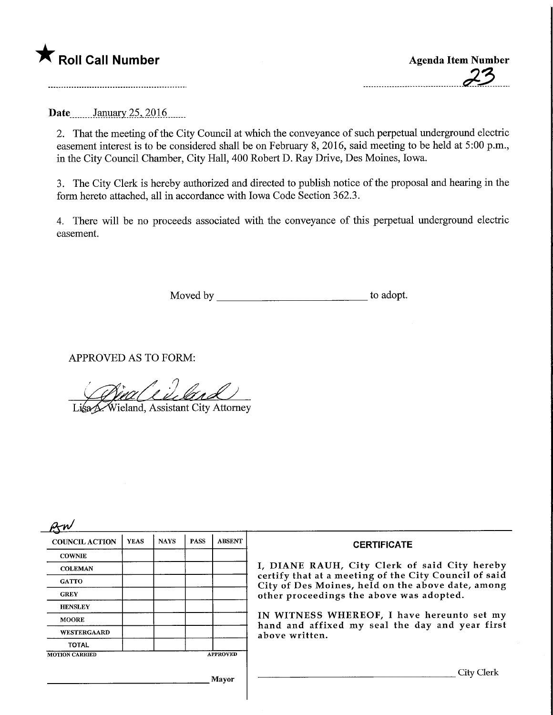## $\bigstar$  Roll Call Number  $\bigstar$  Agenda Item Number

Date........January 25, 2016......

2. That the meeting of the City Council at which the conveyance of such perpetual underground electric easement interest is to be considered shall be on February 8, 2016, said meeting to be held at 5:00 p.m., in the City Council Chamber, City Hall, 400 Robert D. Ray Drive, Des Moines, Iowa.

3. The City Clerk is hereby authorized and directed to publish notice of the proposal and hearing in the form hereto attached, all in accordance with Iowa Code Section 362.3.

4. There will be no proceeds associated with the conveyance of this perpetual underground electric easement.

Moved by to adopt.

APPROVED AS TO FORM:

aliuland Lisa K Wieland, Assistant City Attorney

| <b>COUNCIL ACTION</b> | <b>YEAS</b> | <b>NAYS</b> | <b>PASS</b> | <b>ABSENT</b>   | <b>CERTIFICATE</b>                                                                                                                                                                                                                                                                                                         |
|-----------------------|-------------|-------------|-------------|-----------------|----------------------------------------------------------------------------------------------------------------------------------------------------------------------------------------------------------------------------------------------------------------------------------------------------------------------------|
| <b>COWNIE</b>         |             |             |             |                 |                                                                                                                                                                                                                                                                                                                            |
| <b>COLEMAN</b>        |             |             |             |                 | I, DIANE RAUH, City Clerk of said City hereby<br>certify that at a meeting of the City Council of said<br>City of Des Moines, held on the above date, among<br>other proceedings the above was adopted.<br>IN WITNESS WHEREOF, I have hereunto set my<br>hand and affixed my seal the day and year first<br>above written. |
| <b>GATTO</b>          |             |             |             |                 |                                                                                                                                                                                                                                                                                                                            |
| <b>GREY</b>           |             |             |             |                 |                                                                                                                                                                                                                                                                                                                            |
| <b>HENSLEY</b>        |             |             |             |                 |                                                                                                                                                                                                                                                                                                                            |
| <b>MOORE</b>          |             |             |             |                 |                                                                                                                                                                                                                                                                                                                            |
| WESTERGAARD           |             |             |             |                 |                                                                                                                                                                                                                                                                                                                            |
| <b>TOTAL</b>          |             |             |             |                 |                                                                                                                                                                                                                                                                                                                            |
| <b>MOTION CARRIED</b> |             |             |             | <b>APPROVED</b> |                                                                                                                                                                                                                                                                                                                            |
| Mayor                 |             |             |             |                 | City Clerk                                                                                                                                                                                                                                                                                                                 |